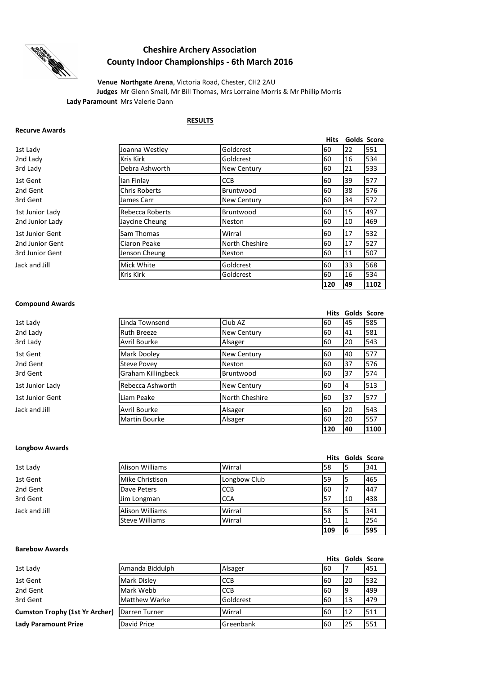

# **Cheshire Archery Association County Indoor Championships - 6th March 2016**

**Lady Paramount** Mrs Valerie Dann **Venue Northgate Arena**, Victoria Road, Chester, CH2 2AU **Judges** Mr Glenn Small, Mr Bill Thomas, Mrs Lorraine Morris & Mr Phillip Morris

### **RESULTS**

#### **Recurve Awards**

|                 |                      |                    | <b>Hits</b> |    | Golds Score |
|-----------------|----------------------|--------------------|-------------|----|-------------|
| 1st Lady        | Joanna Westley       | Goldcrest          | 60          | 22 | 551         |
| 2nd Lady        | <b>Kris Kirk</b>     | Goldcrest          | 60          | 16 | 534         |
| 3rd Ladv        | Debra Ashworth       | <b>New Century</b> | 60          | 21 | 533         |
| 1st Gent        | lan Finlay           | <b>CCB</b>         | 60          | 39 | 577         |
| 2nd Gent        | <b>Chris Roberts</b> | Bruntwood          | 60          | 38 | 576         |
| 3rd Gent        | James Carr           | <b>New Century</b> | 60          | 34 | 572         |
| 1st Junior Lady | Rebecca Roberts      | Bruntwood          | 60          | 15 | 497         |
| 2nd Junior Lady | Jaycine Cheung       | <b>Neston</b>      | 60          | 10 | 469         |
| 1st Junior Gent | Sam Thomas           | Wirral             | 60          | 17 | 532         |
| 2nd Junior Gent | Ciaron Peake         | North Cheshire     | 60          | 17 | 527         |
| 3rd Junior Gent | Jenson Cheung        | <b>Neston</b>      | 60          | 11 | 507         |
| Jack and Jill   | Mick White           | Goldcrest          | 60          | 33 | 568         |
|                 | <b>Kris Kirk</b>     | Goldcrest          | 60          | 16 | 534         |
|                 |                      |                    | 120         | 49 | 1102        |

## **Compound Awards**

|                 |                           |                    | <b>Hits</b> | Golds Score |      |
|-----------------|---------------------------|--------------------|-------------|-------------|------|
| 1st Lady        | Linda Townsend            | Club AZ            | 60          | 45          | 585  |
| 2nd Lady        | <b>Ruth Breeze</b>        | <b>New Century</b> | 60          | 41          | 581  |
| 3rd Lady        | Avril Bourke              | Alsager            | 60          | 20          | 543  |
| 1st Gent        | Mark Dooley               | <b>New Century</b> | 60          | 40          | 577  |
| 2nd Gent        | <b>Steve Povey</b>        | <b>Neston</b>      | 60          | 37          | 576  |
| 3rd Gent        | <b>Graham Killingbeck</b> | Bruntwood          | 60          | 37          | 574  |
| 1st Junior Lady | Rebecca Ashworth          | <b>New Century</b> | 60          | 4           | 513  |
| 1st Junior Gent | Liam Peake                | North Cheshire     | 60          | 37          | 577  |
| Jack and Jill   | Avril Bourke              | Alsager            | 60          | 20          | 543  |
|                 | <b>Martin Bourke</b>      | Alsager            | 60          | 20          | 557  |
|                 |                           |                    | 120         | 40          | 1100 |

## **Longbow Awards**

|               |                        |              |       | <b>Hits Golds Score</b> |     |
|---------------|------------------------|--------------|-------|-------------------------|-----|
| 1st Lady      | Alison Williams        | Wirral       | 58    |                         | 341 |
| 1st Gent      | Mike Christison        | Longbow Club | 59    |                         | 465 |
| 2nd Gent      | Dave Peters            | <b>CCB</b>   | 60    |                         | 447 |
| 3rd Gent      | Jim Longman            | <b>CCA</b>   | $15-$ | 10                      | 438 |
| Jack and Jill | <b>Alison Williams</b> | Wirral       | 58    |                         | 341 |
|               | Steve Williams         | Wirral       | 51    |                         | 254 |
|               |                        |              | 109   |                         | 595 |

# **Barebow Awards**

|                                |                      |             |           | <b>Hits Golds Score</b> |      |
|--------------------------------|----------------------|-------------|-----------|-------------------------|------|
| 1st Lady                       | Amanda Biddulph      | Alsager     | 160       |                         | 1451 |
| 1st Gent                       | <b>Mark Disley</b>   | <b>ICCB</b> | 160       | 20                      | 532  |
| 2nd Gent                       | Mark Webb            | <b>CCB</b>  | 60        | 19                      | 499  |
| 3rd Gent                       | <b>Matthew Warke</b> | Goldcrest   | <b>60</b> | 13                      | 479  |
| Cumston Trophy (1st Yr Archer) | Darren Turner        | Wirral      | 60        | 12                      | 511  |
| Lady Paramount Prize           | David Price          | Greenbank   | <b>60</b> | 25                      | 551  |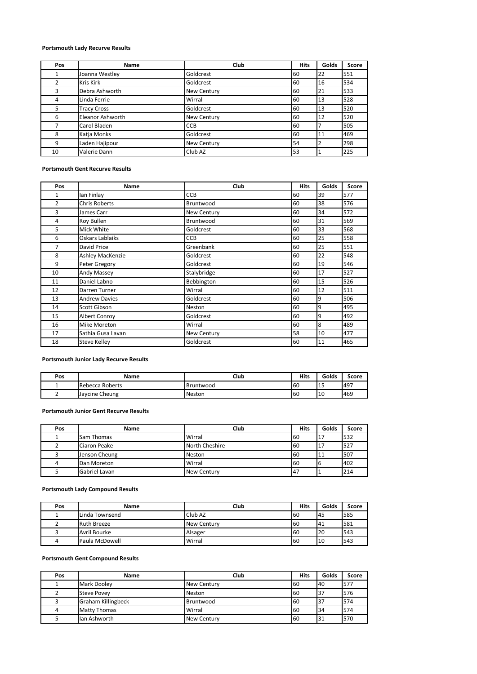# **Portsmouth Lady Recurve Results**

| Pos | <b>Name</b>        | Club               | <b>Hits</b> | Golds          | Score |
|-----|--------------------|--------------------|-------------|----------------|-------|
|     | Joanna Westley     | Goldcrest          | 60          | 22             | 551   |
|     | <b>Kris Kirk</b>   | Goldcrest          | 60          | 16             | 534   |
| 3   | Debra Ashworth     | <b>New Century</b> | 60          | 21             | 533   |
| 4   | Linda Ferrie       | Wirral             | 60          | 13             | 528   |
| 5   | <b>Tracy Cross</b> | Goldcrest          | 60          | 13             | 520   |
| 6   | Eleanor Ashworth   | <b>New Century</b> | 60          | 12             | 520   |
|     | Carol Bladen       | <b>CCB</b>         | 60          |                | 505   |
| 8   | Katja Monks        | Goldcrest          | 60          | 11             | 469   |
| 9   | Laden Hajipour     | <b>New Century</b> | 54          | $\overline{2}$ | 298   |
| 10  | Valerie Dann       | Club AZ            | 53          |                | 225   |

#### **Portsmouth Gent Recurve Results**

| Pos            | Name                 | Club        | <b>Hits</b> | Golds | <b>Score</b> |
|----------------|----------------------|-------------|-------------|-------|--------------|
| $\mathbf{1}$   | lan Finlay           | <b>CCB</b>  | 60          | 39    | 577          |
| $\overline{2}$ | <b>Chris Roberts</b> | Bruntwood   | 60          | 38    | 576          |
| 3              | James Carr           | New Century | 60          | 34    | 572          |
| 4              | <b>Roy Bullen</b>    | Bruntwood   | 60          | 31    | 569          |
| 5              | Mick White           | Goldcrest   | 60          | 33    | 568          |
| 6              | Oskars Lablaiks      | <b>CCB</b>  | 60          | 25    | 558          |
| 7              | David Price          | Greenbank   | 60          | 25    | 551          |
| 8              | Ashley MacKenzie     | Goldcrest   | 60          | 22    | 548          |
| 9              | Peter Gregory        | Goldcrest   | 60          | 19    | 546          |
| 10             | Andy Massey          | Stalybridge | 60          | 17    | 527          |
| 11             | Daniel Labno         | Bebbington  | 60          | 15    | 526          |
| 12             | Darren Turner        | Wirral      | 60          | 12    | 511          |
| 13             | <b>Andrew Davies</b> | Goldcrest   | 60          | 9     | 506          |
| 14             | Scott Gibson         | Neston      | 60          | 9     | 495          |
| 15             | Albert Conroy        | Goldcrest   | 60          | 9     | 492          |
| 16             | Mike Moreton         | Wirral      | 60          | 8     | 489          |
| 17             | Sathia Gusa Lavan    | New Century | 58          | 10    | 477          |
| 18             | <b>Steve Kelley</b>  | Goldcrest   | 60          | 11    | 465          |

#### **Portsmouth Junior Lady Recurve Results**

| Pos | Name            | Club      | Hits      | Golds            | Score |
|-----|-----------------|-----------|-----------|------------------|-------|
|     | Rebecca Roberts | Bruntwood | <b>60</b> | <b>1 F</b><br>ᅟᅩ | 1497  |
| -   | Jaycine Cheung  | Neston    | 60        | 10               | 469   |

#### **Portsmouth Junior Gent Recurve Results**

| Pos | Name              | Club               | <b>Hits</b> | Golds | Score |
|-----|-------------------|--------------------|-------------|-------|-------|
|     | <b>Sam Thomas</b> | Wirral             | 60          | 17،   | 532   |
|     | Ciaron Peake      | North Cheshire     | 60          | .17   | 527   |
|     | Jenson Cheung     | <b>Neston</b>      | 60          | 11    | 507   |
| 4   | Dan Moreton       | Wirral             | 60          | b     | 402   |
|     | Gabriel Lavan     | <b>New Century</b> | <b>147</b>  |       | 214   |

### **Portsmouth Lady Compound Results**

| Pos | Name               | Club               | Hits | Golds | Score |
|-----|--------------------|--------------------|------|-------|-------|
|     | Linda Townsend     | Club AZ            | 60   | 45    | 585   |
|     | <b>Ruth Breeze</b> | <b>New Century</b> | 60   | 41    | 581   |
|     | Avril Bourke       | Alsager            | 60   | 20    | 543   |
| 4   | Paula McDowell     | Wirral             | 60   | 10    | 543   |

# **Portsmouth Gent Compound Results**

| Pos | Name                      | Club               | <b>Hits</b> | Golds | Score |
|-----|---------------------------|--------------------|-------------|-------|-------|
|     | Mark Dooley               | <b>New Century</b> | 60          | 40    | 577   |
|     | <b>Steve Povey</b>        | <b>Neston</b>      | 160         | 137   | 576   |
|     | <b>Graham Killingbeck</b> | Bruntwood          | 160         | 37    | 574   |
|     | <b>Matty Thomas</b>       | Wirral             | 60          | 34    | 574   |
|     | lan Ashworth              | <b>New Century</b> | 60          | 31    | 570   |